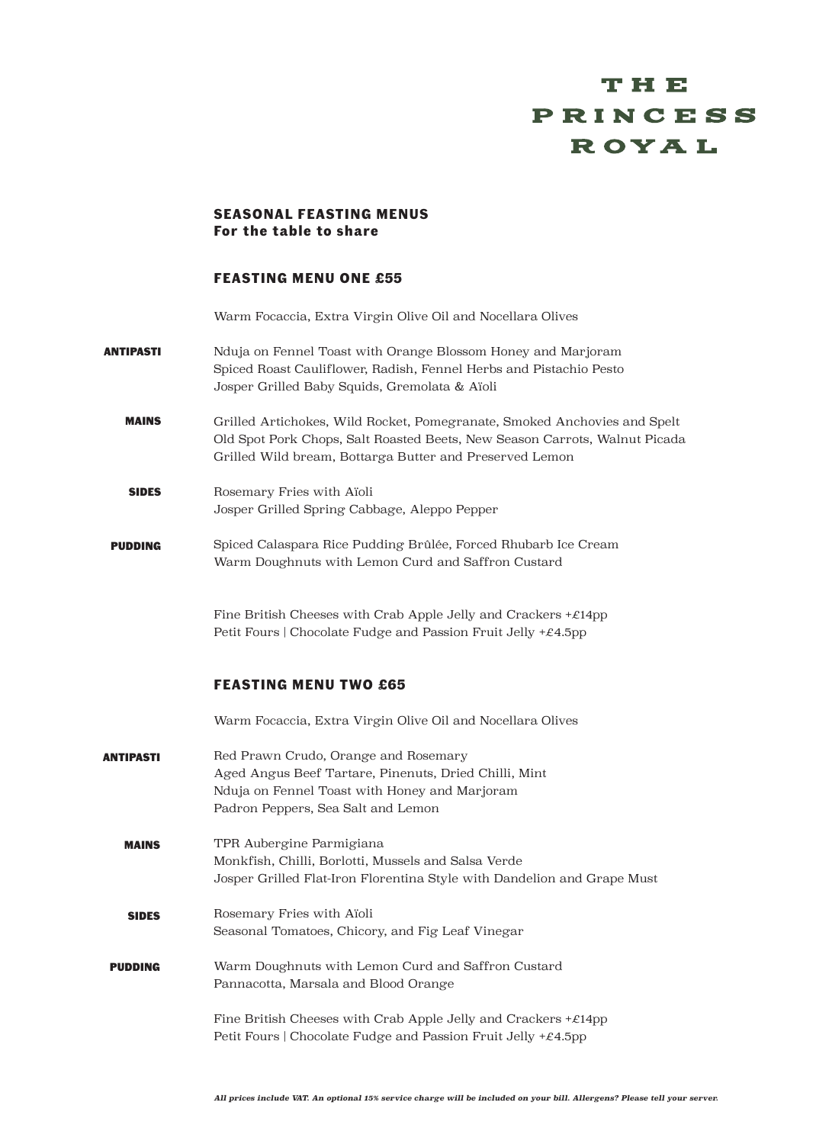# тне PRINCESS **ROYAL**

### **SEASONAL FEASTING MENUS For the table to share**

### **FEASTING MENU ONE £55**

Warm Focaccia, Extra Virgin Olive Oil and Nocellara Olives

- ANTIPASTI Nduja on Fennel Toast with Orange Blossom Honey and Marjoram Spiced Roast Cauliflower, Radish, Fennel Herbs and Pistachio Pesto Josper Grilled Baby Squids, Gremolata & Aïoli
	- MAINS Grilled Artichokes, Wild Rocket, Pomegranate, Smoked Anchovies and Spelt Old Spot Pork Chops, Salt Roasted Beets, New Season Carrots, Walnut Picada Grilled Wild bream, Bottarga Butter and Preserved Lemon
	- SIDES Rosemary Fries with Aïoli Josper Grilled Spring Cabbage, Aleppo Pepper
- PUDDING Spiced Calaspara Rice Pudding Brûlée, Forced Rhubarb Ice Cream Warm Doughnuts with Lemon Curd and Saffron Custard

Fine British Cheeses with Crab Apple Jelly and Crackers  $+\mathcal{E}14$ pp Petit Fours | Chocolate Fudge and Passion Fruit Jelly  $+\mathcal{E}4.5$ pp

## **FEASTING MENU TWO £65**

Warm Focaccia, Extra Virgin Olive Oil and Nocellara Olives

ANTIPASTI MAINS SIDES PUDDING Red Prawn Crudo, Orange and Rosemary Aged Angus Beef Tartare, Pinenuts, Dried Chilli, Mint Nduja on Fennel Toast with Honey and Marjoram Padron Peppers, Sea Salt and Lemon TPR Aubergine Parmigiana Monkfish, Chilli, Borlotti, Mussels and Salsa Verde Josper Grilled Flat-Iron Florentina Style with Dandelion and Grape Must Rosemary Fries with Aïoli Seasonal Tomatoes, Chicory, and Fig Leaf Vinegar Warm Doughnuts with Lemon Curd and Saffron Custard Pannacotta, Marsala and Blood Orange Fine British Cheeses with Crab Apple Jelly and Crackers  $+\mathcal{E}14$ pp Petit Fours | Chocolate Fudge and Passion Fruit Jelly  $+£4.5$ pp